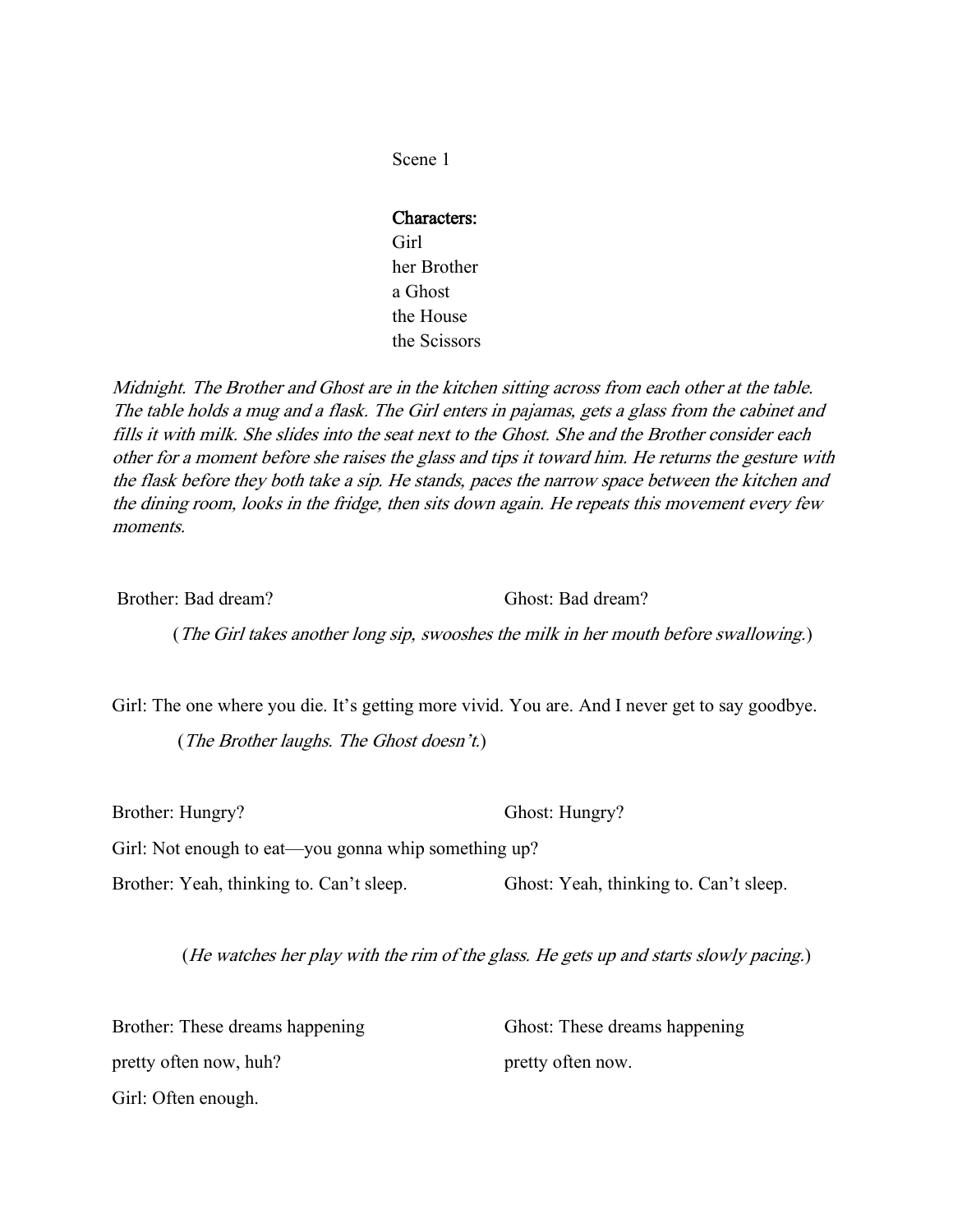#### Characters:

Girl her Brother a Ghost the House the Scissors

Midnight. The Brother and Ghost are in the kitchen sitting across from each other at the table. The table holds a mug and a flask. The Girl enters in pajamas, gets a glass from the cabinet and fills it with milk. She slides into the seat next to the Ghost. She and the Brother consider each other for a moment before she raises the glass and tips it toward him. He returns the gesture with the flask before they both take a sip. He stands, paces the narrow space between the kitchen and the dining room, looks in the fridge, then sits down again. He repeats this movement every few moments.

Brother: Bad dream? Ghost: Bad dream?

(The Girl takes another long sip, swooshes the milk in her mouth before swallowing.)

Girl: The one where you die. It's getting more vivid. You are. And I never get to say goodbye.

(The Brother laughs. The Ghost doesn't.)

Girl: Not enough to eat—you gonna whip something up?

Brother: Yeah, thinking to. Can't sleep. Ghost: Yeah, thinking to. Can't sleep.

(He watches her play with the rim of the glass. He gets up and starts slowly pacing.)

Brother: These dreams happening Ghost: These dreams happening pretty often now, huh? pretty often now. Girl: Often enough.

Brother: Hungry? Ghost: Hungry?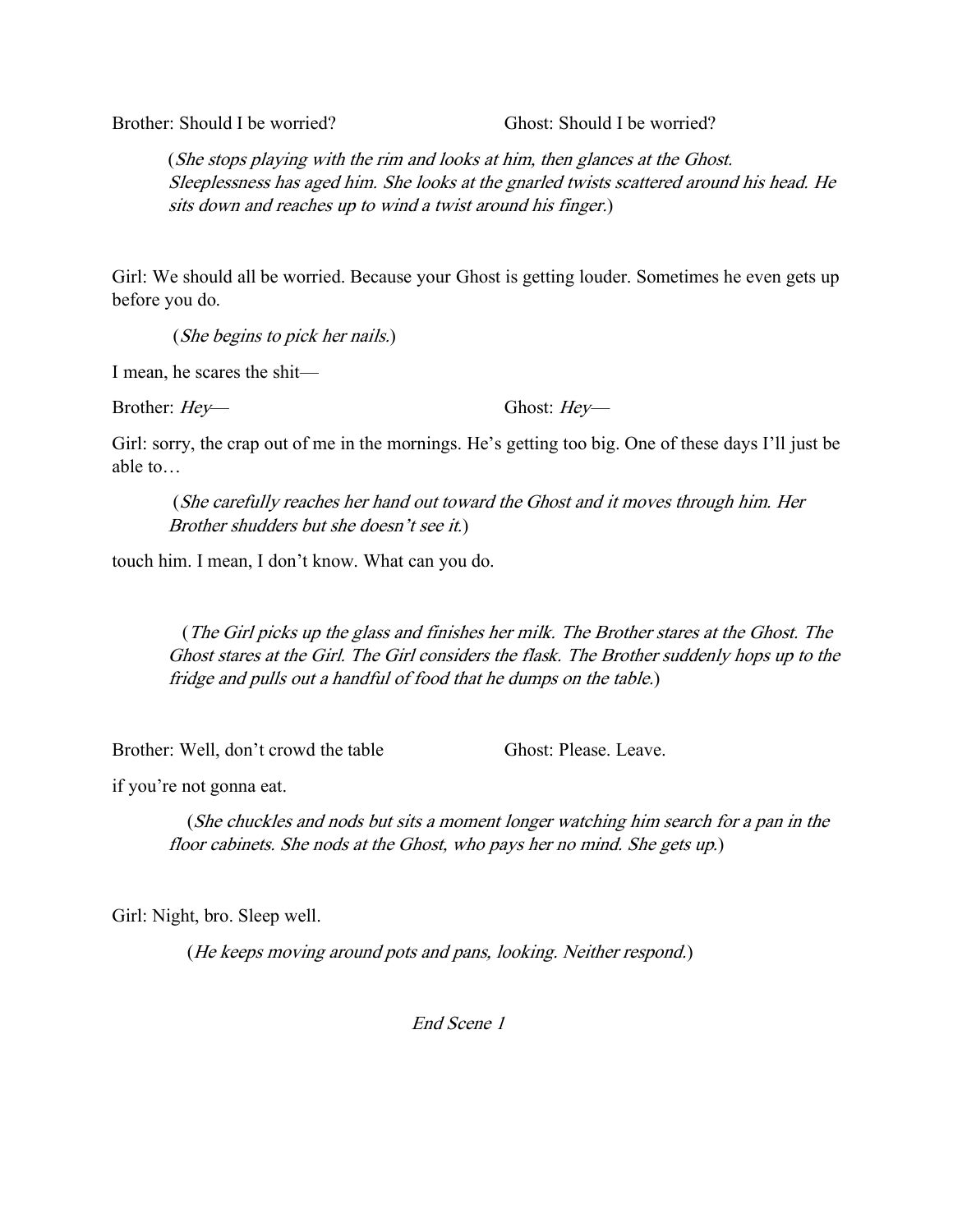Brother: Should I be worried? Ghost: Should I be worried?

(She stops playing with the rim and looks at him, then glances at the Ghost. Sleeplessness has aged him. She looks at the gnarled twists scattered around his head. He sits down and reaches up to wind a twist around his finger.)

Girl: We should all be worried. Because your Ghost is getting louder. Sometimes he even gets up before you do.

(She begins to pick her nails.)

I mean, he scares the shit—

Brother: *Hey*— Ghost: *Hey*—

Girl: sorry, the crap out of me in the mornings. He's getting too big. One of these days I'll just be able to…

(She carefully reaches her hand out toward the Ghost and it moves through him. Her <sup>B</sup>rother shudders but she doesn't see it.)

touch him. I mean, I don't know. What can you do.

 (The Girl picks up the glass and finishes her milk. The Brother stares at the Ghost. The Ghost stares at the Girl. The Girl considers the flask. The Brother suddenly hops up to the fridge and pulls out a handful of food that he dumps on the table.)

Brother: Well, don't crowd the table Ghost: Please. Leave.

if you're not gonna eat.

 (She chuckles and nods but sits a moment longer watching him search for a pan in the floor cabinets. She nods at the Ghost, who pays her no mind. She gets up.)

Girl: Night, bro. Sleep well.

(He keeps moving around pots and pans, looking. Neither respond.)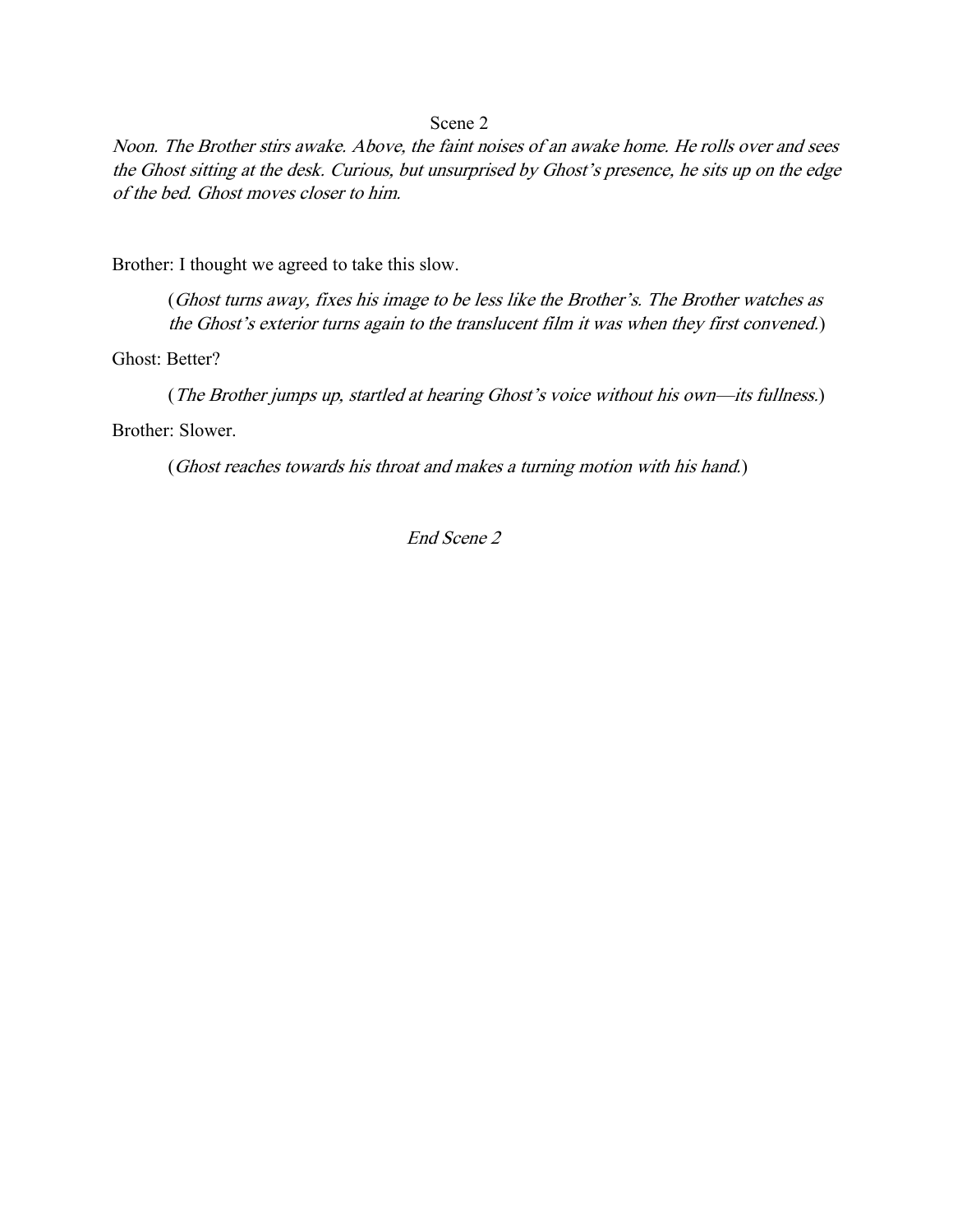Noon. The Brother stirs awake. Above, the faint noises of an awake home. He rolls over and sees the Ghost sitting at the desk. Curious, but unsurprised by Ghost's presence, he sits up on the edge of the bed. Ghost moves closer to him.

Brother: I thought we agreed to take this slow.

(Ghost turns away, fixes his image to be less like the Brother's. The Brother watches as the Ghost's exterior turns again to the translucent film it was when they first convened.)

Ghost: Better?

(The Brother jumps up, startled at hearing Ghost's voice without his own—its fullness.)

Brother: Slower.

(Ghost reaches towards his throat and makes a turning motion with his hand.)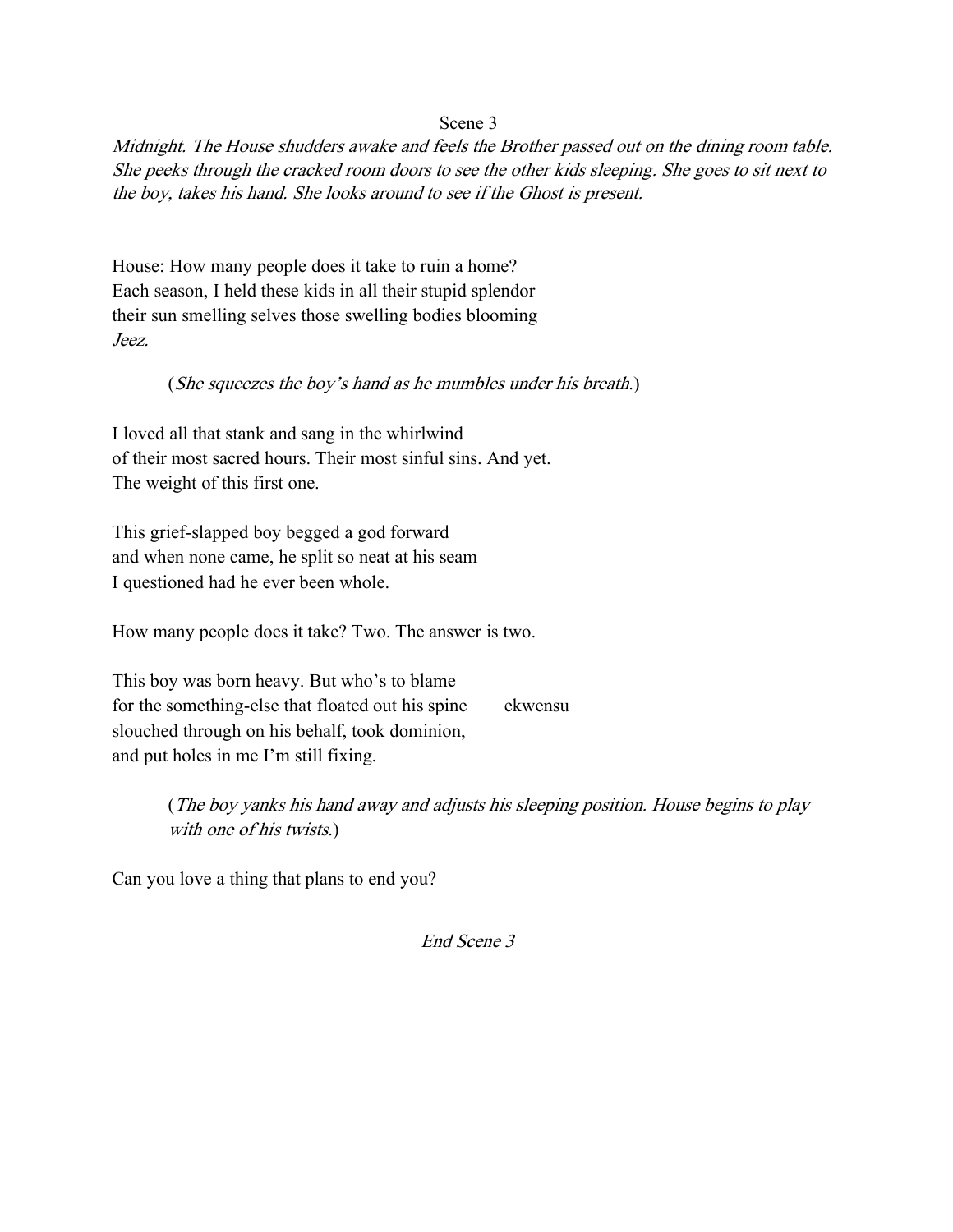Midnight. The House shudders awake and feels the Brother passed out on the dining room table. She peeks through the cracked room doors to see the other kids sleeping. She goes to sit next to the boy, takes his hand. She looks around to see if the Ghost is present.

House: How many people does it take to ruin a home? Each season, I held these kids in all their stupid splendor their sun smelling selves those swelling bodies blooming Jeez.

## (She squeezes the boy's hand as he mumbles under his breath.)

I loved all that stank and sang in the whirlwind of their most sacred hours. Their most sinful sins. And yet. The weight of this first one.

This grief-slapped boy begged a god forward and when none came, he split so neat at his seam I questioned had he ever been whole.

How many people does it take? Two. The answer is two.

This boy was born heavy. But who's to blame for the something-else that floated out his spine ekwensu slouched through on his behalf, took dominion, and put holes in me I'm still fixing.

> (The boy yanks his hand away and adjusts his sleeping position. House begins to play with one of his twists.)

Can you love a thing that plans to end you?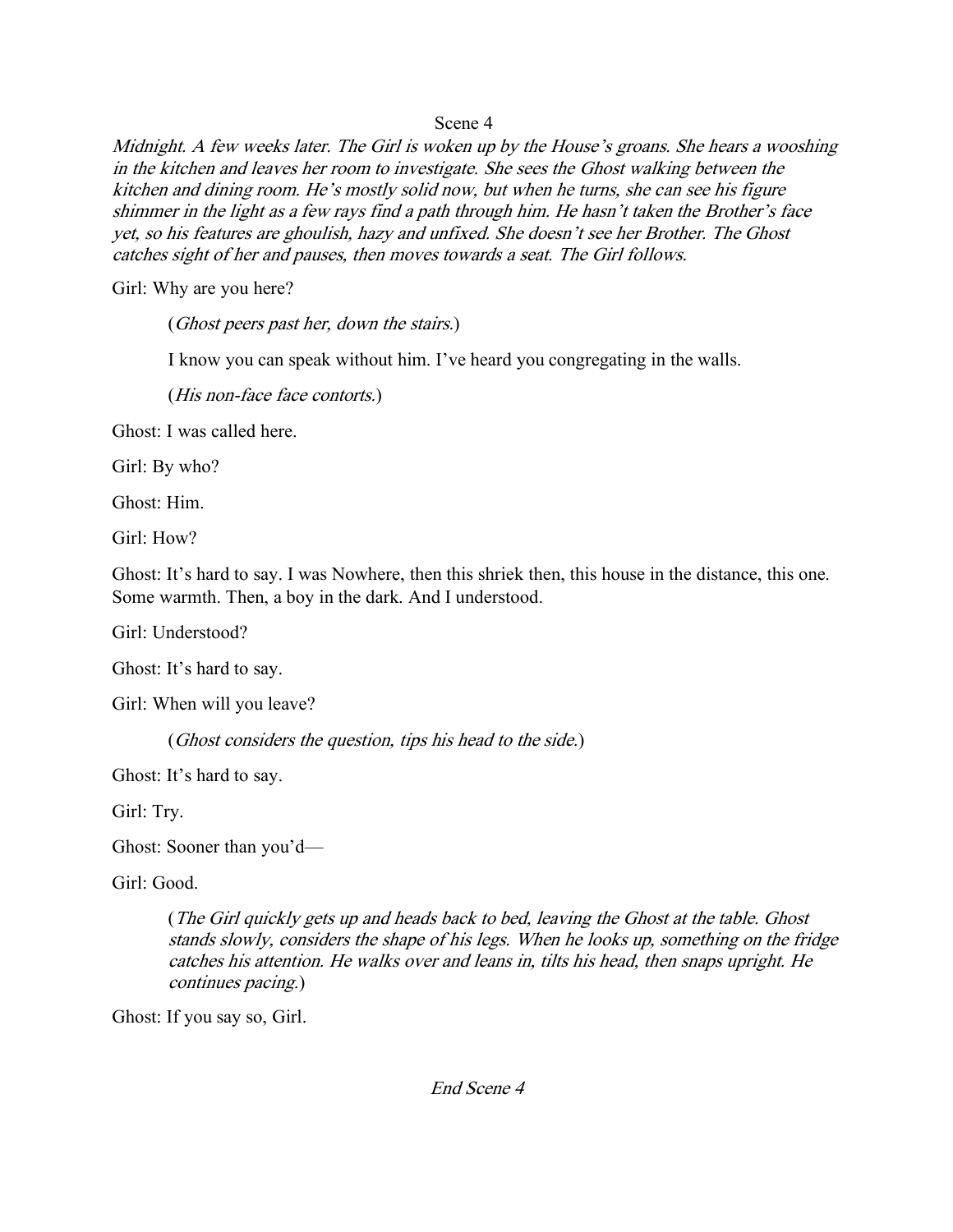Midnight. A few weeks later. The Girl is woken up by the House's groans. She hears a wooshing in the kitchen and leaves her room to investigate. She sees the Ghost walking between the kitchen and dining room. He's mostly solid now, but when he turns, she can see his figure shimmer in the light as a few rays find a path through him. He hasn't taken the Brother's face yet, so his features are ghoulish, hazy and unfixed. She doesn't see her Brother. The Ghost catches sight of her and pauses, then moves towards a seat. The Girl follows.

Girl: Why are you here?

(Ghost peers past her, down the stairs.)

I know you can speak without him. I've heard you congregating in the walls.

(His non-face face contorts.)

Ghost: I was called here.

Girl: By who?

Ghost: Him.

Girl: How?

Ghost: It's hard to say. I was Nowhere, then this shriek then, this house in the distance, this one. Some warmth. Then, a boy in the dark. And I understood.

Girl: Understood?

Ghost: It's hard to say.

Girl: When will you leave?

(Ghost considers the question, tips his head to the side.)

Ghost: It's hard to say.

Girl: Try.

Ghost: Sooner than you'd—

Girl: Good.

(The Girl quickly gets up and heads back to bed, leaving the Ghost at the table. Ghost stands slowly, considers the shape of his legs. When he looks up, something on the fridge catches his attention. He walks over and leans in, tilts his head, then snaps upright. He continues pacing.)

Ghost: If you say so, Girl.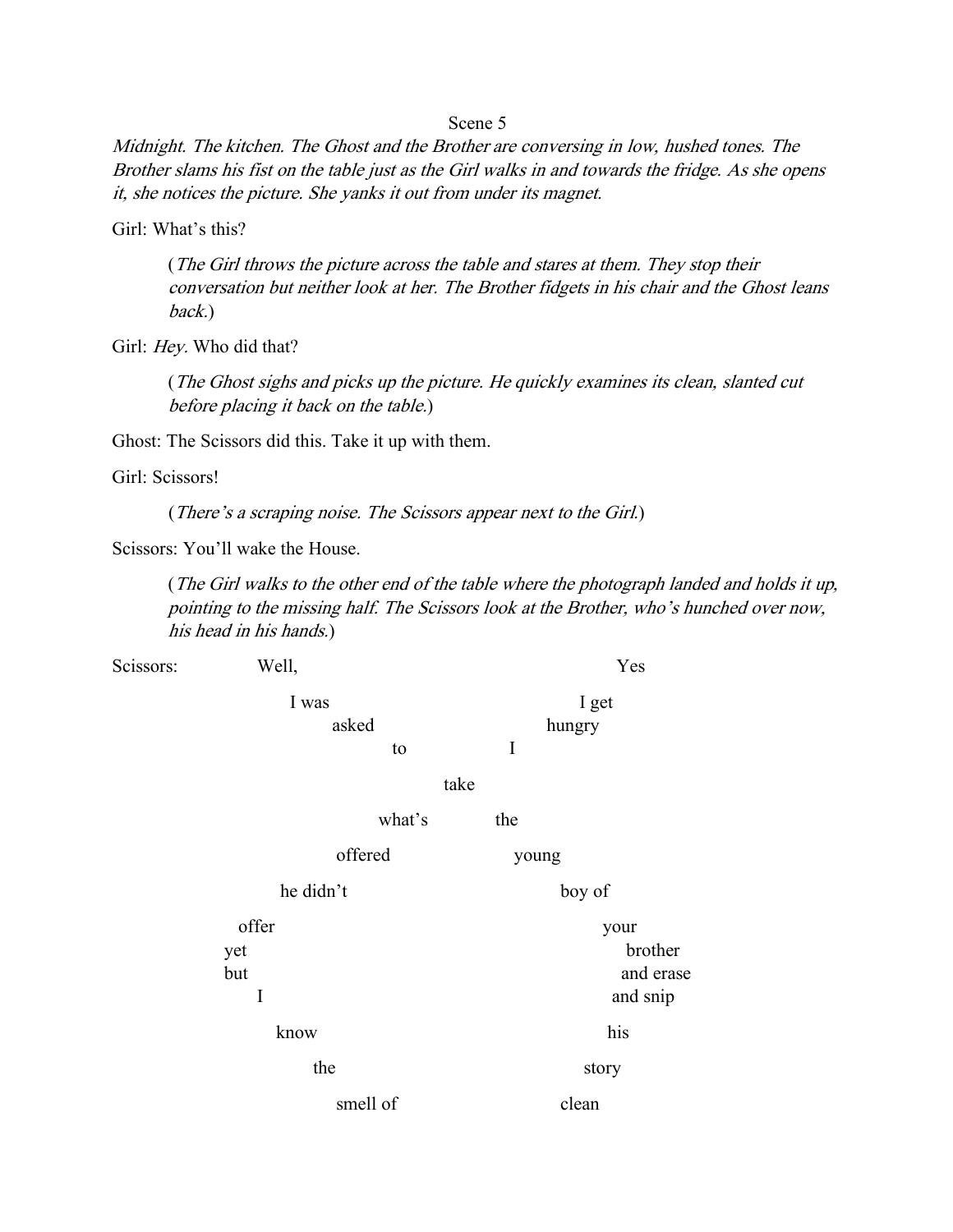Midnight. The kitchen. The Ghost and the Brother are conversing in low, hushed tones. The Brother slams his fist on the table just as the Girl walks in and towards the fridge. As she opens it, she notices the picture. She yanks it out from under its magnet.

Girl: What's this?

(The Girl throws the picture across the table and stares at them. They stop their conversation but neither look at her. The Brother fidgets in his chair and the Ghost leans back.)

Girl: Hey. Who did that?

(The Ghost sighs and picks up the picture. He quickly examines its clean, slanted cut before placing it back on the table.)

Ghost: The Scissors did this. Take it up with them.

Girl: Scissors!

(There's a scraping noise. The Scissors appear next to the Girl.)

Scissors: You'll wake the House.

(The Girl walks to the other end of the table where the photograph landed and holds it up, pointing to the missing half. The Scissors look at the Brother, who's hunched over now, his head in his hands.)

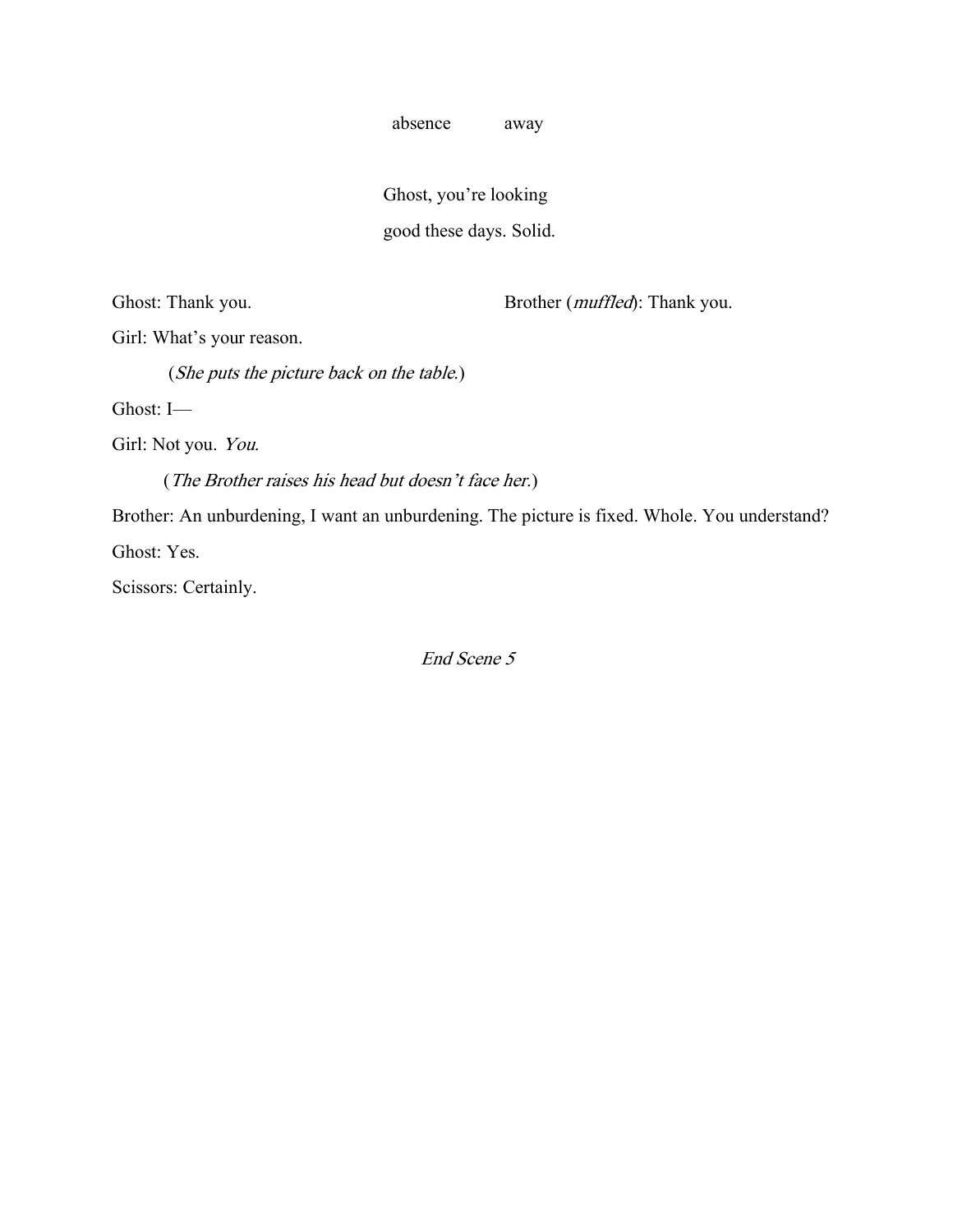absence away

 Ghost, you're looking good these days. Solid.

Ghost: Thank you. Brother (*muffled*): Thank you.

Girl: What's your reason.

(She puts the picture back on the table.)

Ghost: I—

Girl: Not you. You.

(The Brother raises his head but doesn't face her.)

Brother: An unburdening, I want an unburdening. The picture is fixed. Whole. You understand?

Ghost: Yes.

Scissors: Certainly.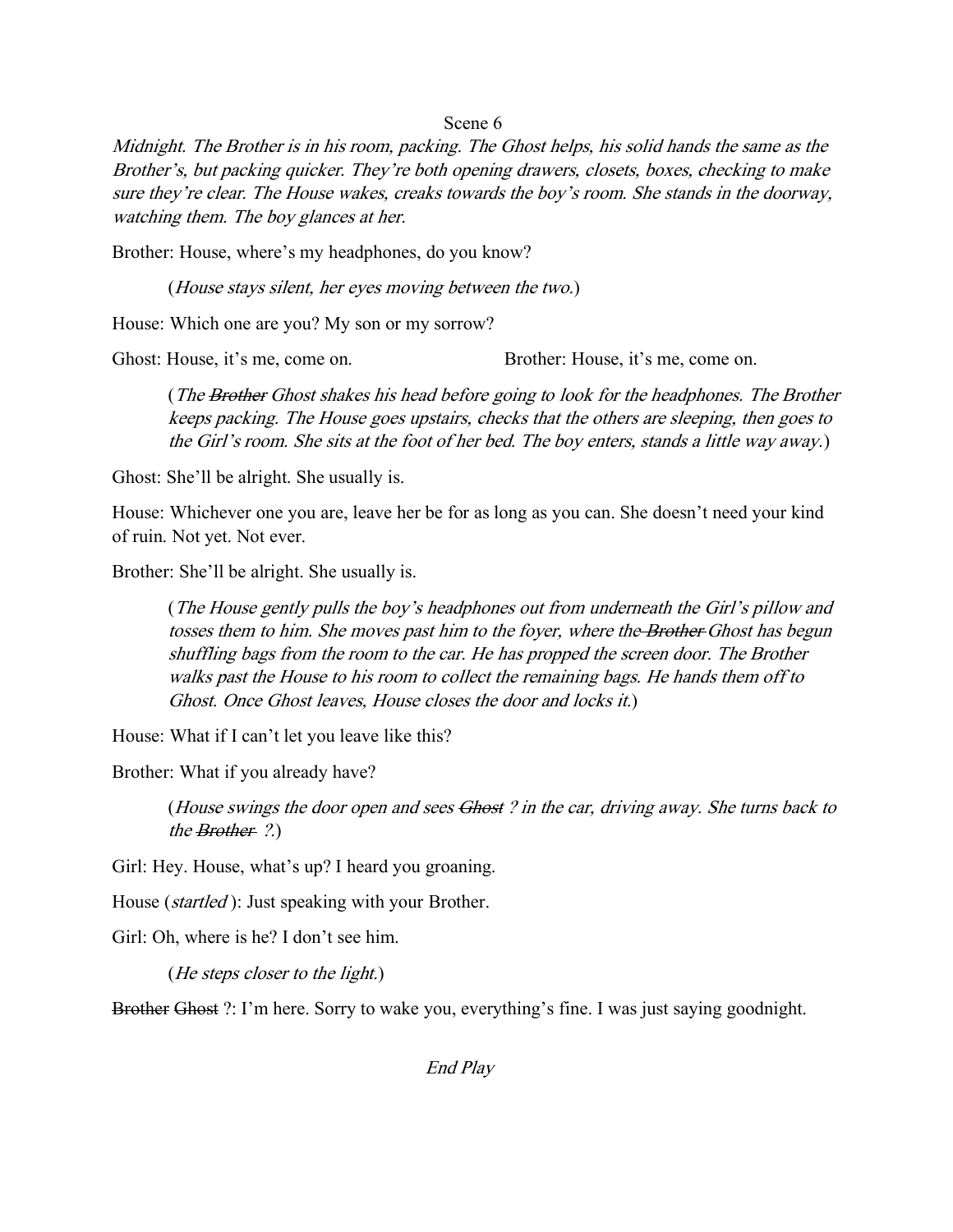Midnight. The Brother is in his room, packing. The Ghost helps, his solid hands the same as the Brother's, but packing quicker. They're both opening drawers, closets, boxes, checking to make sure they're clear. The House wakes, creaks towards the boy's room. She stands in the doorway, watching them. The boy glances at her.

Brother: House, where's my headphones, do you know?

(House stays silent, her eyes moving between the two.)

House: Which one are you? My son or my sorrow?

Ghost: House, it's me, come on. Brother: House, it's me, come on.

(The Brother Ghost shakes his head before going to look for the headphones. The Brother keeps packing. The House goes upstairs, checks that the others are sleeping, then goes to the Girl's room. She sits at the foot of her bed. The boy enters, stands a little way away.)

Ghost: She'll be alright. She usually is.

House: Whichever one you are, leave her be for as long as you can. She doesn't need your kind of ruin. Not yet. Not ever.

Brother: She'll be alright. She usually is.

(The House gently pulls the boy's headphones out from underneath the Girl's pillow and tosses them to him. She moves past him to the foyer, where the Brother Ghost has begun shuffling bags from the room to the car. He has propped the screen door. The Brother walks past the House to his room to collect the remaining bags. He hands them off to Ghost. Once Ghost leaves, House closes the door and locks it.)

House: What if I can't let you leave like this?

Brother: What if you already have?

(House swings the door open and sees Ghost ? in the car, driving away. She turns back to the Brother ?.)

Girl: Hey. House, what's up? I heard you groaning.

House (*startled*): Just speaking with your Brother.

Girl: Oh, where is he? I don't see him.

(He steps closer to the light.)

Brother Ghost ?: I'm here. Sorry to wake you, everything's fine. I was just saying goodnight.

End Play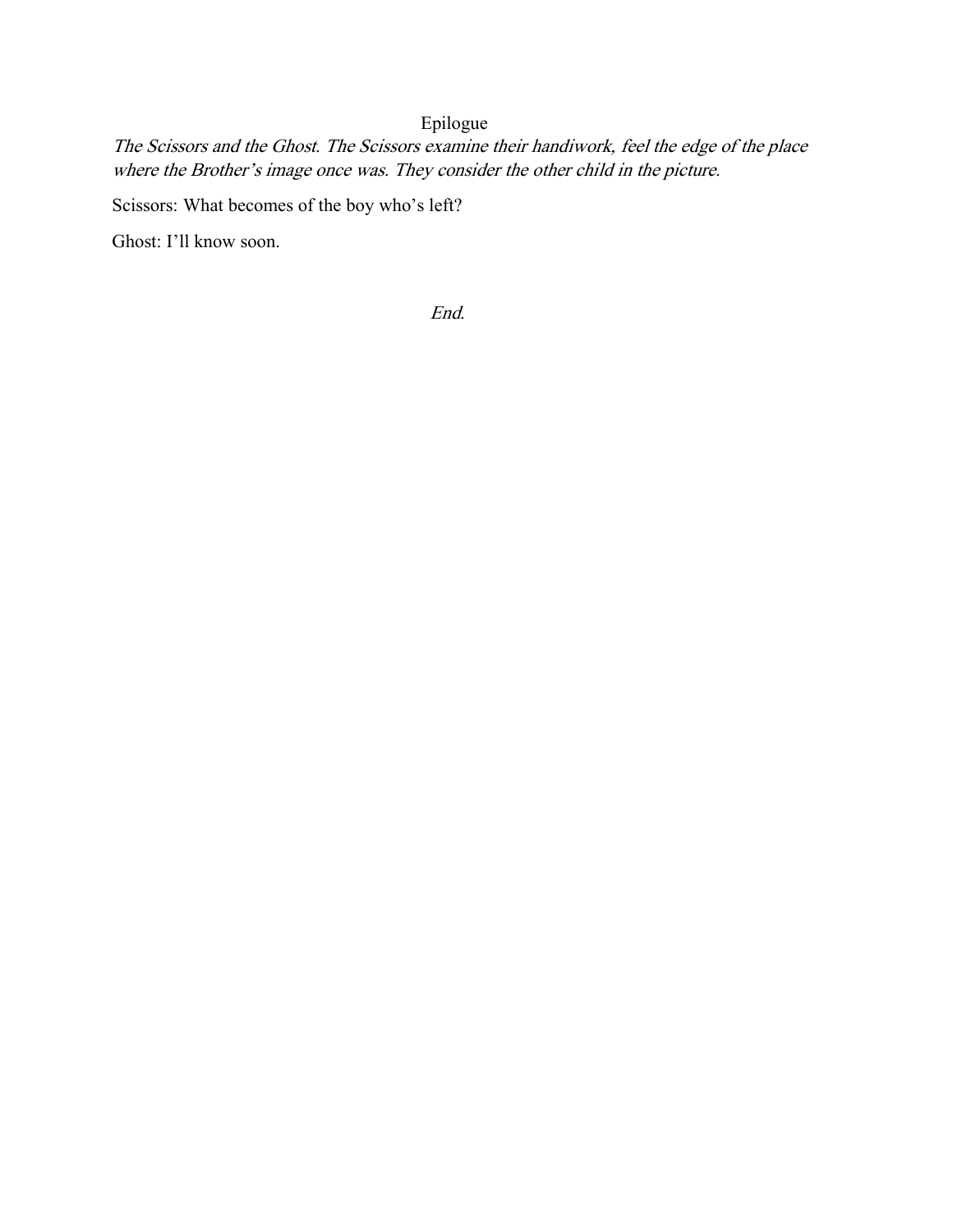# Epilogue

The Scissors and the Ghost. The Scissors examine their handiwork, feel the edge of the place where the Brother's image once was. They consider the other child in the picture.

Scissors: What becomes of the boy who's left?

Ghost: I'll know soon.

End.